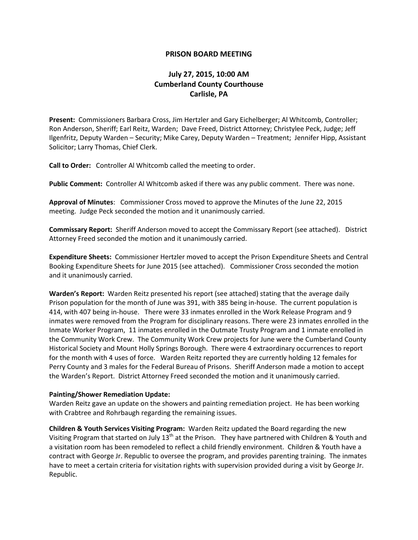## **PRISON BOARD MEETING**

## **July 27, 2015, 10:00 AM Cumberland County Courthouse Carlisle, PA**

**Present:** Commissioners Barbara Cross, Jim Hertzler and Gary Eichelberger; Al Whitcomb, Controller; Ron Anderson, Sheriff; Earl Reitz, Warden; Dave Freed, District Attorney; Christylee Peck, Judge; Jeff Ilgenfritz, Deputy Warden – Security; Mike Carey, Deputy Warden – Treatment; Jennifer Hipp, Assistant Solicitor; Larry Thomas, Chief Clerk.

**Call to Order:** Controller Al Whitcomb called the meeting to order.

**Public Comment:** Controller Al Whitcomb asked if there was any public comment. There was none.

**Approval of Minutes**: Commissioner Cross moved to approve the Minutes of the June 22, 2015 meeting. Judge Peck seconded the motion and it unanimously carried.

**Commissary Report:** Sheriff Anderson moved to accept the Commissary Report (see attached). District Attorney Freed seconded the motion and it unanimously carried.

**Expenditure Sheets:** Commissioner Hertzler moved to accept the Prison Expenditure Sheets and Central Booking Expenditure Sheets for June 2015 (see attached). Commissioner Cross seconded the motion and it unanimously carried.

**Warden's Report:** Warden Reitz presented his report (see attached) stating that the average daily Prison population for the month of June was 391, with 385 being in-house. The current population is 414, with 407 being in-house. There were 33 inmates enrolled in the Work Release Program and 9 inmates were removed from the Program for disciplinary reasons. There were 23 inmates enrolled in the Inmate Worker Program, 11 inmates enrolled in the Outmate Trusty Program and 1 inmate enrolled in the Community Work Crew. The Community Work Crew projects for June were the Cumberland County Historical Society and Mount Holly Springs Borough. There were 4 extraordinary occurrences to report for the month with 4 uses of force. Warden Reitz reported they are currently holding 12 females for Perry County and 3 males for the Federal Bureau of Prisons. Sheriff Anderson made a motion to accept the Warden's Report. District Attorney Freed seconded the motion and it unanimously carried.

## **Painting/Shower Remediation Update:**

Warden Reitz gave an update on the showers and painting remediation project. He has been working with Crabtree and Rohrbaugh regarding the remaining issues.

**Children & Youth Services Visiting Program:** Warden Reitz updated the Board regarding the new Visiting Program that started on July 13<sup>th</sup> at the Prison. They have partnered with Children & Youth and a visitation room has been remodeled to reflect a child friendly environment. Children & Youth have a contract with George Jr. Republic to oversee the program, and provides parenting training. The inmates have to meet a certain criteria for visitation rights with supervision provided during a visit by George Jr. Republic.